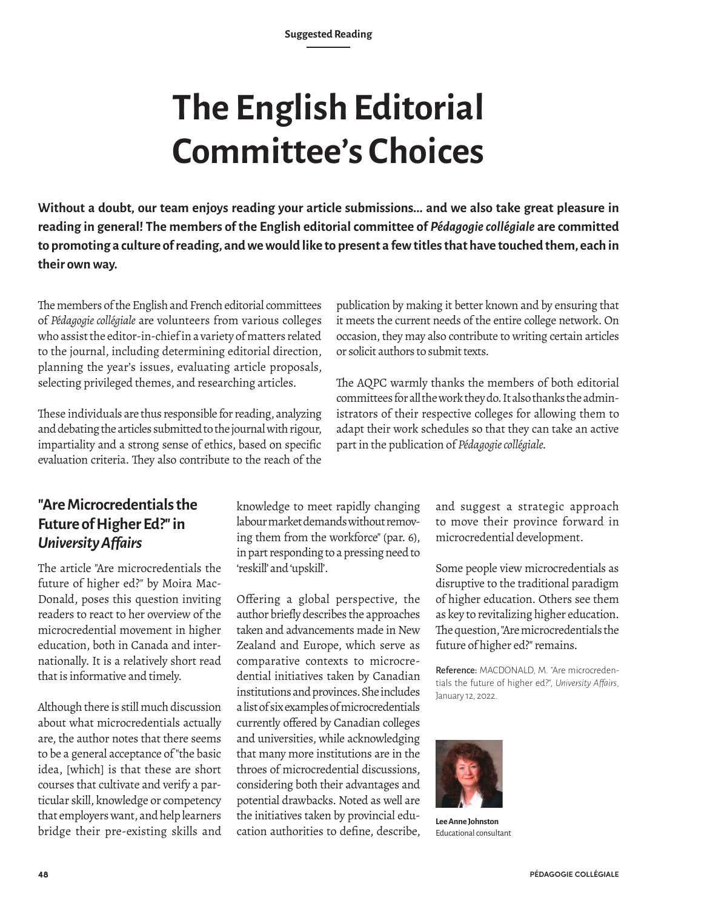# **The English Editorial Committee's Choices**

**Without a doubt, our team enjoys reading your article submissions... and we also take great pleasure in reading in general! The members of the English editorial committee of** *Pédagogie collégiale* **are committed to promoting a culture of reading, and we would like to present a few titles that have touched them, each in their own way.**

The members of the English and French editorial committees of *Pédagogie collégiale* are volunteers from various colleges who assist the editor-in-chief in a variety of matters related to the journal, including determining editorial direction, planning the year's issues, evaluating article proposals, selecting privileged themes, and researching articles.

These individuals are thus responsible for reading, analyzing and debating the articles submitted to the journal with rigour, impartiality and a strong sense of ethics, based on specific evaluation criteria. They also contribute to the reach of the

publication by making it better known and by ensuring that it meets the current needs of the entire college network. On occasion, they may also contribute to writing certain articles or solicit authors to submit texts.

The AQPC warmly thanks the members of both editorial committees for all the work they do. It also thanks the administrators of their respective colleges for allowing them to adapt their work schedules so that they can take an active part in the publication of *Pédagogie collégiale.*

# **"Are Microcredentials the Future of Higher Ed?" in**  *University Affairs*

The article "Are microcredentials the future of higher ed?" by Moira Mac-Donald, poses this question inviting readers to react to her overview of the microcredential movement in higher education, both in Canada and internationally. It is a relatively short read that is informative and timely.

Although there is still much discussion about what microcredentials actually are, the author notes that there seems to be a general acceptance of "the basic idea, [which] is that these are short courses that cultivate and verify a particular skill, knowledge or competency that employers want, and help learners bridge their pre-existing skills and

knowledge to meet rapidly changing labour market demands without removing them from the workforce" (par. 6), in part responding to a pressing need to 'reskill' and 'upskill'.

Offering a global perspective, the author briefly describes the approaches taken and advancements made in New Zealand and Europe, which serve as comparative contexts to microcredential initiatives taken by Canadian institutions and provinces. She includes a list of six examples of microcredentials currently offered by Canadian colleges and universities, while acknowledging that many more institutions are in the throes of microcredential discussions, considering both their advantages and potential drawbacks. Noted as well are the initiatives taken by provincial education authorities to define, describe,

and suggest a strategic approach to move their province forward in microcredential development.

Some people view microcredentials as disruptive to the traditional paradigm of higher education. Others see them as key to revitalizing higher education. The question, "Are microcredentials the future of higher ed?" remains.

Reference: MACDONALD, M. "Are microcredentials the future of higher ed?", *University Affairs*, January 12, 2022.



**Lee Anne Johnston** Educational consultant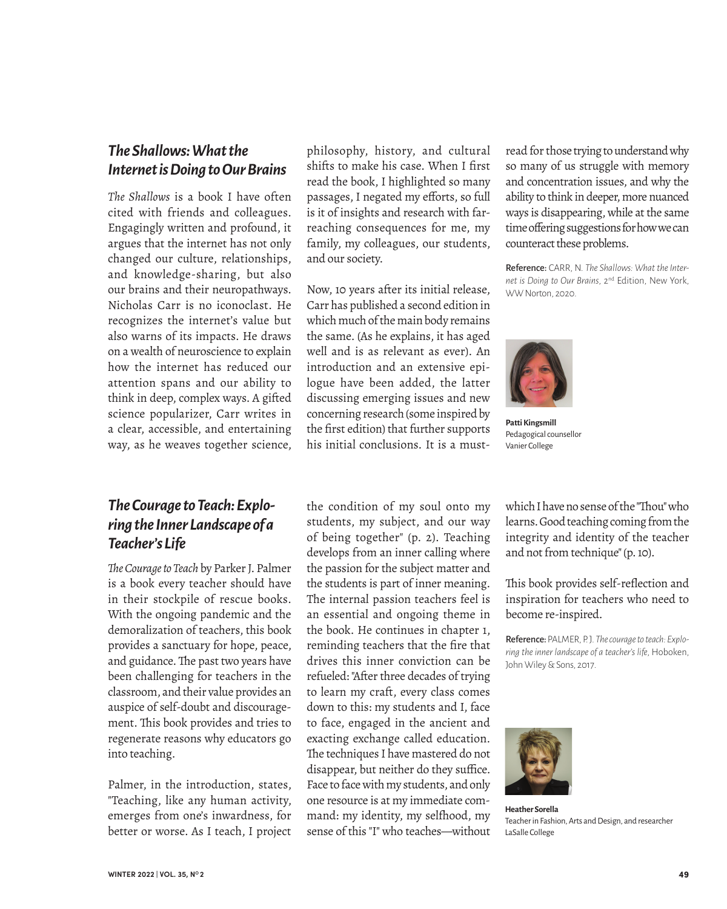## *The Shallows: What the Internet is Doing to Our Brains*

*The Shallows* is a book I have often cited with friends and colleagues. Engagingly written and profound, it argues that the internet has not only changed our culture, relationships, and knowledge-sharing, but also our brains and their neuropathways. Nicholas Carr is no iconoclast. He recognizes the internet's value but also warns of its impacts. He draws on a wealth of neuroscience to explain how the internet has reduced our attention spans and our ability to think in deep, complex ways. A gifted science popularizer, Carr writes in a clear, accessible, and entertaining way, as he weaves together science,

#### *The Courage to Teach: Exploring the Inner Landscape of a Teacher's Life*

*The Courage to Teach* by Parker J. Palmer is a book every teacher should have in their stockpile of rescue books. With the ongoing pandemic and the demoralization of teachers, this book provides a sanctuary for hope, peace, and guidance. The past two years have been challenging for teachers in the classroom, and their value provides an auspice of self-doubt and discouragement. This book provides and tries to regenerate reasons why educators go into teaching.

Palmer, in the introduction, states, "Teaching, like any human activity, emerges from one's inwardness, for better or worse. As I teach, I project philosophy, history, and cultural shifts to make his case. When I first read the book, I highlighted so many passages, I negated my efforts, so full is it of insights and research with farreaching consequences for me, my family, my colleagues, our students, and our society.

Now, 10 years after its initial release, Carr has published a second edition in which much of the main body remains the same. (As he explains, it has aged well and is as relevant as ever). An introduction and an extensive epilogue have been added, the latter discussing emerging issues and new concerning research (some inspired by the first edition) that further supports his initial conclusions. It is a must-

read for those trying to understand why so many of us struggle with memory and concentration issues, and why the ability to think in deeper, more nuanced ways is disappearing, while at the same time offering suggestions for how we can counteract these problems.

Reference: CARR, N. *The Shallows: What the Internet is Doing to Our Brains*, 2nd Edition, New York, WW Norton, 2020.



**Patti Kingsmill** Pedagogical counsellor Vanier College

the condition of my soul onto my

students, my subject, and our way of being together" (p. 2). Teaching develops from an inner calling where the passion for the subject matter and the students is part of inner meaning. The internal passion teachers feel is an essential and ongoing theme in the book. He continues in chapter 1, reminding teachers that the fire that drives this inner conviction can be refueled: "After three decades of trying to learn my craft, every class comes down to this: my students and I, face to face, engaged in the ancient and exacting exchange called education. The techniques I have mastered do not disappear, but neither do they suffice. Face to face with my students, and only one resource is at my immediate command: my identity, my selfhood, my sense of this "I" who teaches—without

which I have no sense of the "Thou" who learns. Good teaching coming from the integrity and identity of the teacher and not from technique" (p. 10).

This book provides self-reflection and inspiration for teachers who need to become re-inspired.

Reference: PALMER, P. J. *The courage to teach: Exploring the inner landscape of a teacher's life*, Hoboken, John Wiley & Sons, 2017.



**Heather Sorella** Teacher in Fashion, Arts and Design, and researcher LaSalle College